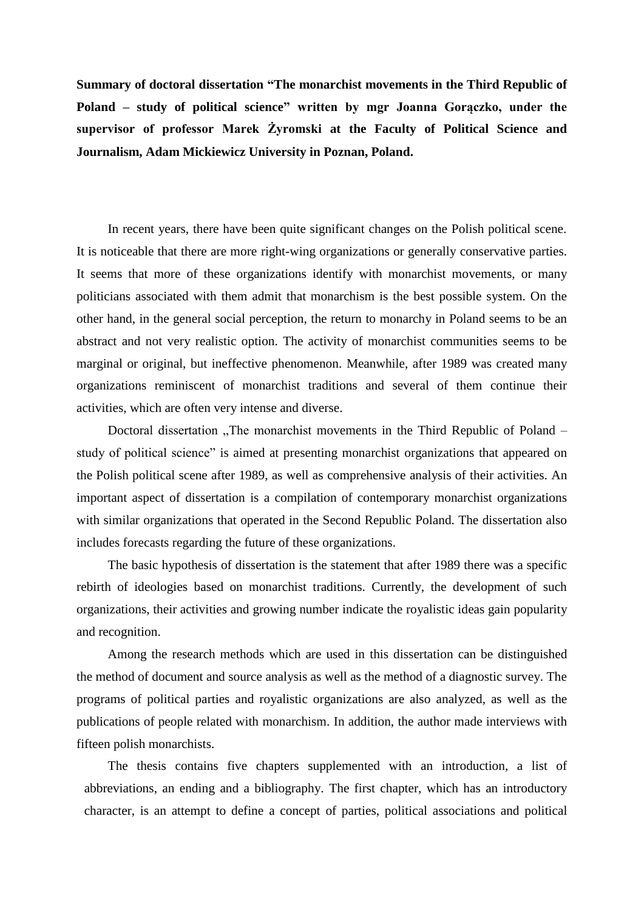**Summary of doctoral dissertation "The monarchist movements in the Third Republic of Poland – study of political science" written by mgr Joanna Gorączko, under the supervisor of professor Marek Żyromski at the Faculty of Political Science and Journalism, Adam Mickiewicz University in Poznan, Poland.**

In recent years, there have been quite significant changes on the Polish political scene. It is noticeable that there are more right-wing organizations or generally conservative parties. It seems that more of these organizations identify with monarchist movements, or many politicians associated with them admit that monarchism is the best possible system. On the other hand, in the general social perception, the return to monarchy in Poland seems to be an abstract and not very realistic option. The activity of monarchist communities seems to be marginal or original, but ineffective phenomenon. Meanwhile, after 1989 was created many organizations reminiscent of monarchist traditions and several of them continue their activities, which are often very intense and diverse.

Doctoral dissertation "The monarchist movements in the Third Republic of Poland – study of political science" is aimed at presenting monarchist organizations that appeared on the Polish political scene after 1989, as well as comprehensive analysis of their activities. An important aspect of dissertation is a compilation of contemporary monarchist organizations with similar organizations that operated in the Second Republic Poland. The dissertation also includes forecasts regarding the future of these organizations.

The basic hypothesis of dissertation is the statement that after 1989 there was a specific rebirth of ideologies based on monarchist traditions. Currently, the development of such organizations, their activities and growing number indicate the royalistic ideas gain popularity and recognition.

Among the research methods which are used in this dissertation can be distinguished the method of document and source analysis as well as the method of a diagnostic survey. The programs of political parties and royalistic organizations are also analyzed, as well as the publications of people related with monarchism. In addition, the author made interviews with fifteen polish monarchists.

The thesis contains five chapters supplemented with an introduction, a list of abbreviations, an ending and a bibliography. The first chapter, which has an introductory character, is an attempt to define a concept of parties, political associations and political